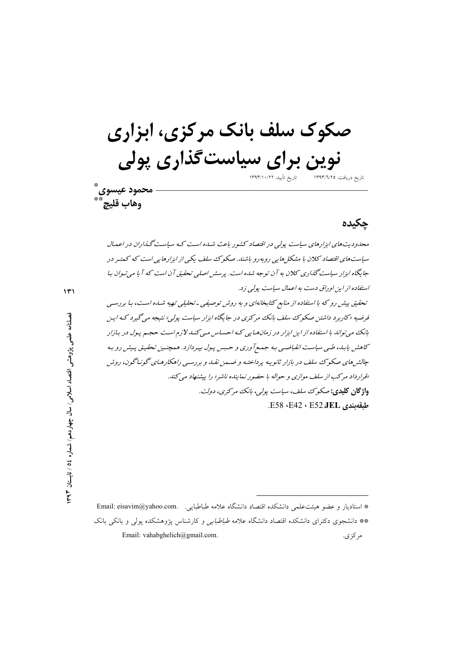صکوک سلف بانک مرکزی، ابزاری نوین برای سیاستگذاری پولی تاريخ تأييد: ١٣٩٣/١٠/٢٢ تاريخ دريافت: ١٣٩٣/٦/٢٥ محمود عيسوى ٌ

چکیده

محدودیت های ایزار های سیاست پولی در اقتصاد کشور باعث شبه ه است کبه سیاست گیذاران در اعمال سیاست های اقتصاد کلان با مشکل هایی روبه رو باشند. صکوک سلف یکی از ابزارهایی است که کمتیر در جایگاه ایزار سیاست گذاری کلان به آن توجه شده است. پرسش اصلی تحقیق آن است که آیا می تیوان بیا استفاده از این اوراق دست به اعمال سیاست پولی زد. تحقیق پیش رو که با استفاده از منابع کتابخانهای و به روش توصیفی ـ تحلیلی تهیه شباه است، با بررسی فرضیه «کاربرد داشتن صکوک سلف بانک مرکزی در جایگاه ابزار سیاست پولی» نتیجه می گیرد که این بانک می تواند با استفاده از این ابزار در زمانهایی که احساس می کند لازم است حجـم پـول در بـازار کاهش پابـ۱، طـی سیاسـت انقباضـی بـه جمـع آوری و حـبس پـول بپـردازد. همچنـین تحقیـق پـیش رو بـه جالش های صکوک سلف در بازار ثانویه پرداخته و ضمن نقبه و بررسبی راهکارهای گونیاگون، روش «قرار داد مرکب از سلف موازی و حواله با حضو ر نماینده ناشر» را پیشنهاد می کند. واژگان کلیدی: صکوک سلف، سیاست پول<sub>و</sub>، بانک مرکزی، دولت. طبقەبندى E52 ، E52 ، E42 ، E58.

\* استاديار و عضو هيئت علمي دانشكده اقتصاد دانشگاه علامه طباطبايي. Email: eisavim@yahoo.com. \*\* دانشجوی دکترای دانشکده اقتصاد دانشگاه علامه *طباطبایی و* کارشناس یژوهشکده یول<sub>ی</sub> و بانکی بانک Email: vahabghelich@gmail.com. مر کز ی.

وهاب قليج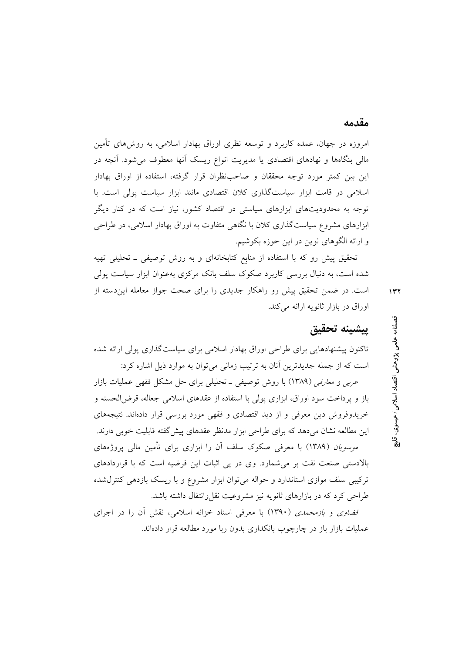#### مقدمه

امروزه در جهان، عمده کاربرد و توسعه نظری اوراق بهادار اسلامی، به روش۵مای تأمین مالی بنگاهها و نهادهای اقتصادی یا مدیریت انواع ریسک آنها معطوف میشود. آنچه در این بین کمتر مورد توجه محققان و صاحبنظران قرار گرفته، استفاده از اوراق بهادار اسلامی در قامت ابزار سیاستگذاری کلان اقتصادی مانند ابزار سیاست پولی است. با توجه به محدودیتهای ابزارهای سیاستی در اقتصاد کشور، نیاز است که در کنار دیگر ابزارهای مشروع سیاستگذاری کلان با نگاهی متفاوت به اوراق بهادار اسلامی، در طراحی و ارائه الگوهای نوین در این حوزه بکوشیم.

تحقیق پیش رو که با استفاده از منابع کتابخانهای و به روش توصیفی ـ تحلیلی تهیه شده است، به دنبال بررسی کاربرد صکوک سلف بانک مرکزی بهعنوان ابزار سیاست پولی است. در ضمن تحقیق پیش رو راهکار جدیدی را برای صحت جواز معامله این دسته از اوراق در بازار ثانویه ارائه می کند.

 $\gamma$ 

# ييشينه تحقيق

تاکنون پیشنهادهایی برای طراحی اوراق بهادار اسلامی برای سیاستگذاری پولی ارائه شده است که از جمله جدیدترین آنان به ترتیب زمانی می توان به موارد ذیل اشاره کرد:

عربی و مع*ارفی* (۱۳۸۹) با روش توصیفی ــ تحلیلی برای حل مشکل فقهی عملیات بازار باز و پرداخت سود اوراق، ابزاری پولی با استفاده از عقدهای اسلامی جعاله، قرض الحسنه و خریدوفروش دین معرفی و از دید اقتصادی و فقهی مورد بررسی قرار دادهاند. نتیجههای این مطالعه نشان میدهد که برای طراحی ابزار مدنظر عقدهای پیش گفته قابلیت خوبی دارند.

*موسویان (*۱۳۸۹) با معرفی صکوک سلف آن را ابزاری برای تأمین مالی پروژههای بالادستی صنعت نفت بر می شمارد. وی در پی اثبات این فرضیه است که با قراردادهای ترکیبی سلف موازی استاندارد و حواله می توان ابزار مشروع و با ریسک بازدهی کنترل شده طراحي كرد كه در بازارهاي ثانويه نيز مشروعيت نقل وانتقال داشته باشد.

قض*اوی و بازمحمدی (*۱۳۹۰) با معرفی اسناد خزانه اسلامی، نقش آن را در اجرای عملیات بازار باز در چارچوب بانکداری بدون ربا مورد مطالعه قرار دادهاند.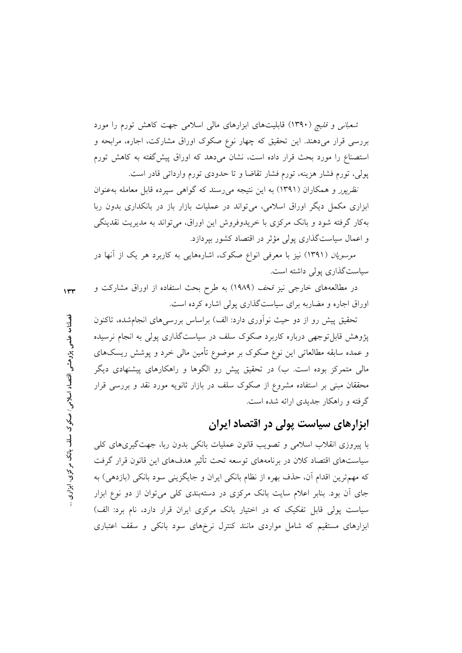*شعبانی و قلیچ (*۱۳۹۰) قابلیتهای ابزارهای مالی اسلامی جهت کاهش تورم را مورد بررسی قرار میدهند. این تحقیق که چهار نوع صکوک اوراق مشارکت، اجاره، مرابحه و استصناع را مورد بحث قرار داده است، نشان میدهد که اوراق پیش گفته به کاهش تورم پولی، تورم فشار هزینه، تورم فشار تقاضا و تا حدودی تورم وارداتی قادر است.

*نظرپور و همکاران (۱۳۹۱) به این نتیجه می رسند که گواهی سپرده قابل معامله به عنوان* ابزاری مکمل دیگر اوراق اسلامی، میتواند در عملیات بازار باز در بانکداری بدون ربا بهکار گرفته شود و بانک مرکزی با خریدوفروش این اوراق، میتواند به مدیریت نقدینگی و اعمال سیاستگذاری پولی مؤثر در اقتصاد کشور بپردازد.

*موسویان (*۱۳۹۱) نیز با معرفی انواع صکوک، اشارههایی به کاربرد هر یک از آنها در سیاستگذاری پولی داشته است.

در مطالعههای خارجی نیز قحف (۱۹۸۹) به طرح بحث استفاده از اوراق مشارکت و  $\mathbf{r}$ اوراق اجاره و مضاربه برای سیاستگذاری پولی اشاره کرده است.

تحقیق پیش رو از دو حیث نوآوری دارد: الف) براساس بررسی۵ای انجامشده، تاکنون پژوهش قابل توجهی درباره کاربرد صکوک سلف در سیاستگذاری پولی به انجام نرسیده و عمده سابقه مطالعاتی این نوع صکوک بر موضوع تأمین مالی خرد و پوشش ریسکهای مالی متمرکز بوده است. ب) در تحقیق پیش رو الگوها و راهکارهای پیشنهادی دیگر محققان مبنی بر استفاده مشروع از صکوک سلف در بازار ثانویه مورد نقد و بررسی قرار گرفته و راهکار جدیدی ارائه شده است.

# ابزارهای سیاست پولی در اقتصاد ایران

با پیروزی انقلاب اسلامی و تصویب قانون عملیات بانکی بدون ربا، جهت گیری های کلی سیاستهای اقتصاد کلان در برنامههای توسعه تحت تأثیر هدفهای این قانون قرار گرفت که مهم ترین اقدام آن، حذف بهره از نظام بانکی ایران و جایگزینی سود بانکی (بازدهی) به جای آن بود. بنابر اعلام سایت بانک مرکزی در دستهبندی کلی میتوان از دو نوع ابزار سیاست پولی قابل تفکیک که در اختیار بانک مرکزی ایران قرار دارد، نام برد: الف) ابزارهای مستقیم که شامل مواردی مانند کنترل نرخهای سود بانکی و سقف اعتباری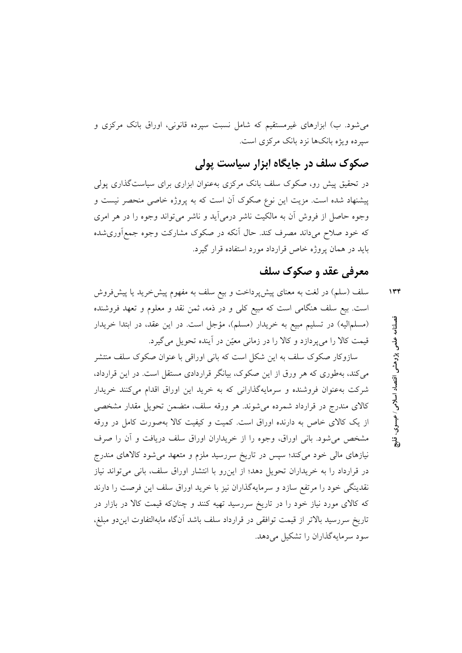میشود. ب) ابزارهای غیرمستقیم که شامل نسبت سپرده قانونی، اوراق بانک مرکزی و سپرده ویژه بانکها نزد بانک مرکزی است.

صکوک سلف در جایگاه ابزار سیاست پولی

در تحقیق پیش رو، صکوک سلف بانک مرکزی بهعنوان ابزاری برای سیاستگذاری پولی پیشنهاد شده است. مزیت این نوع صکوک آن است که به پروژه خاصی منحصر نیست و وجوه حاصل از فروش أن به مالكيت ناشر درمي أيد و ناشر مي تواند وجوه را در هر امري که خود صلاح می داند مصرف کند. حال اّنکه در صکوک مشارکت وجوه جمع|َوریشده باید در همان یروژه خاص قرارداد مورد استفاده قرار گیرد.

# معرفی عقد و صکوک سلف

 $1 + f$ 

سلف (سلم) در لغت به معنای پیشپرداخت و بیع سلف به مفهوم پیش خرید یا پیش فروش است. بیع سلف هنگامی است که مبیع کلی و در ذمه، ثمن نقد و معلوم و تعهد فروشنده (مسلمالیه) در تسلیم مبیع به خریدار (مسلم)، مؤجل است. در این عقد، در ابتدا خریدار قیمت کالا را میپردازد و کالا را در زمانی معیّن در آینده تحویل میگیرد.

سازوکار صکوک سلف به این شکل است که بانی اوراقی با عنوان صکوک سلف منتشر می کند، بهطوری که هر ورق از این صکوک، بیانگر قراردادی مستقل است. در این قرارداد، شرکت بهعنوان فروشنده و سرمایهگذارانی که به خرید این اوراق اقدام میکنند خریدار کالای مندرج در قرارداد شمرده می شوند. هر ورقه سلف، متضمن تحویل مقدار مشخصی از یک کالای خاص به دارنده اوراق است. کمیت و کیفیت کالا بهصورت کامل در ورقه مشخص می شود. بانی اوراق، وجوه را از خریداران اوراق سلف دریافت و آن را صرف نیازهای مال<sub>ی</sub> خود می کند؛ سپس در تاریخ سررسید ملزم و متعهد می شود کالاهای مندرج در قرارداد را به خریداران تحویل دهد؛ از این رو با انتشار اوراق سلف، بانی می تواند نیاز نقدینگی خود را مرتفع سازد و سرمایهگذاران نیز با خرید اوراق سلف این فرصت را دارند که کالای مورد نیاز خود را در تاریخ سررسید تهیه کنند و چنانکه قیمت کالا در بازار در تاريخ سررسيد بالاتر از قيمت توافقي در قرارداد سلف باشد آنگاه مابهالتفاوت اين دو مبلغ، سود سرمایهگذاران را تشکیل میدهد. فصلنامه علمى بژوهشى اقتصاد اسلامى ⁄ عيسوى

 $\frac{1}{2}$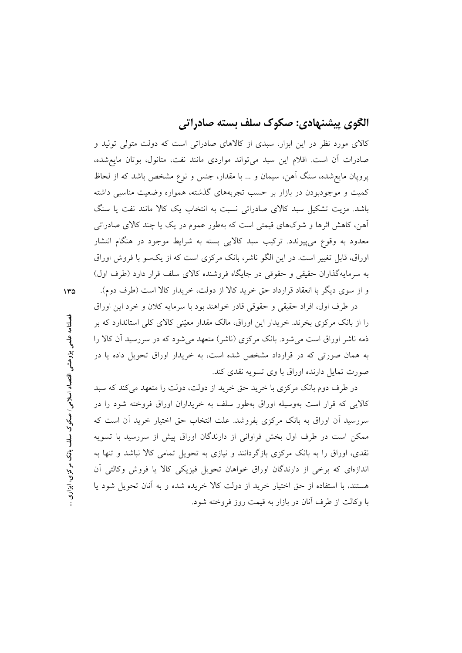## الگوی پیشنهادی: صکوک سلف بسته صادراتی

کالای مورد نظر در این ابزار، سبدی از کالاهای صادراتی است که دولت متولی تولید و صادرات آن است. اقلام این سبد می تواند مواردی مانند نفت، متانول، بوتان مایع شده، پروپان مایع شده، سنگ آهن، سیمان و … با مقدار، جنس و نوع مشخص باشد که از لحاظ کمیت و موجودبودن در بازار بر حسب تجربههای گذشته، همواره وضعیت مناسبی داشته باشد. مزیت تشکیل سبد کالای صادراتی نسبت به انتخاب یک کالا مانند نفت یا سنگ اّهن، کاهش اثرها و شوکهای قیمتی است که بهطور عموم در یک یا چند کالای صادراتی معدود به وقوع مي پيوندد. ترکيب سبد کالايي بسته به شرايط موجود در هنگام انتشار اوراق، قابل تغییر است. در این الگو ناشر، بانک مرکزی است که از یکسو با فروش اوراق به سرمایهگذاران حقیقی و حقوقی در جایگاه فروشنده کالای سلف قرار دارد (طرف اول) و از سوی دیگر با انعقاد قرارداد حق خرید کالا از دولت، خریدار کالا است (طرف دوم).

در طرف اول، افراد حقيقي و حقوقي قادر خواهند بود با سرمايه كلان و خرد اين اوراق را از بانک مرکزی بخرند. خریدار این اوراق، مالک مقدار معیّنی کالای کلی استاندارد که بر ذمه ناشر اوراق است می شود. بانک مرکزی (ناشر) متعهد می شود که در سررسید آن کالا را به همان صورتی که در قرارداد مشخص شده است، به خریدار اوراق تحویل داده یا در صورت تمایل دارنده اوراق با وی تسویه نقدی کند.

در طرف دوم بانک مرکزی با خرید حق خرید از دولت، دولت را متعهد می کند که سبد کالایی که قرار است بهوسیله اوراق بهطور سلف به خریداران اوراق فروخته شود را در سررسید اَن اوراق به بانک مرکزی بفروشد. علت انتخاب حق اختیار خرید اَن است که ممکن است در طرف اول بخش فراوانی از دارندگان اوراق پیش از سررسید با تسویه نقدی، اوراق را به بانک مرکزی بازگردانند و نیازی به تحویل تمامی کالا نباشد و تنها به اندازهای که برخی از دارندگان اوراق خواهان تحویل فیزیکی کالا یا فروش وکالتی اَن هستند، با استفاده از حق اختیار خرید از دولت کالا خریده شده و به آنان تحویل شود یا با وكالت از طرف آنان در بازار به قیمت روز فروخته شود.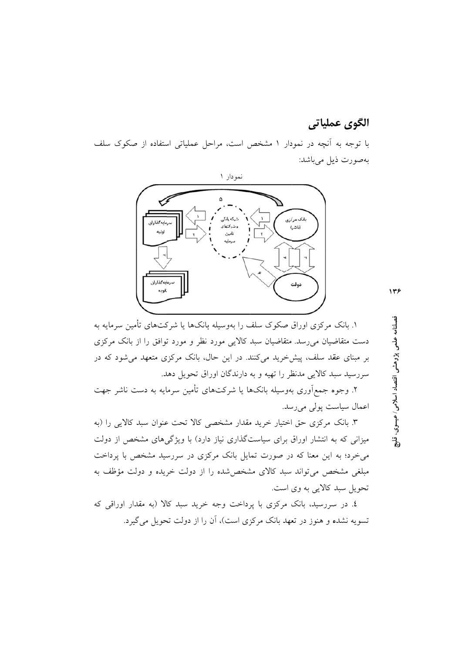### الگوي عملياتي

با توجه به آنچه در نمودار ۱ مشخص است، مراحل عملیاتی استفاده از صکوک سلف بەصورت ذیل میباشد:



۱. بانک مرکزی اوراق صکوک سلف را بهوسیله بانکها یا شرکتهای تأمین سرمایه به دست متقاضیان می رسد. متقاضیان سبد کالایی مورد نظر و مورد توافق را از بانک مرکزی بر مبنای عقد سلف، پیش خرید میکنند. در این حال، بانک مرکزی متعهد می شود که در سررسید سبد کالایی مدنظر را تهیه و به دارندگان اوراق تحویل دهد.

۲. وجوه جمع[وری بهوسیله بانکها یا شرکتهای تأمین سرمایه به دست ناشر جهت اعمال سیاست پولی میرسد.

۳. بانک مرکزی حق اختیار خرید مقدار مشخصی کالا تحت عنوان سبد کالایی را (به میزانی که به انتشار اوراق برای سیاستگذاری نیاز دارد) با ویژگیهای مشخص از دولت میخرد؛ به این معنا که در صورت تمایل بانک مرکزی در سررسید مشخص با پرداخت مبلغی مشخص می تواند سبد کالای مشخص شده را از دولت خریده و دولت مؤظف به تحویل سبد کالایی به وی است.

٤. در سررسید، بانک مرکزی با پرداخت وجه خرید سبد کالا (به مقدار اوراقی که تسویه نشده و هنوز در تعهد بانک مرکزی است)، آن را از دولت تحویل میگیرد. فصلنامه علمی پژوهشی اقتصاد اسلامی ⁄ عیسوی.

 $\ddot{a}$ 

 $\gamma$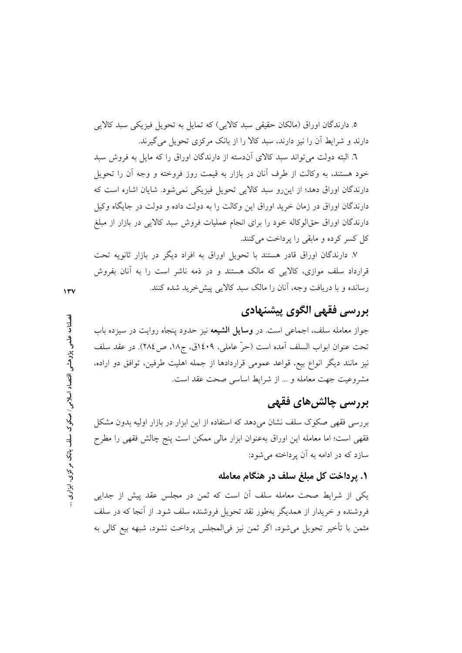٥. دارندگان اوراق (مالکان حقیقی سبد کالایی) که تمایل به تحویل فیزیکی سبد کالایی دارند و شرایط آن را نیز دارند، سبد کالا را از بانک مرکزی تحویل می گیرند.

٦. البته دولت می تواند سبد کالای اّندسته از دارندگان اوراق را که مایل به فروش سبد خود هستند، به وكالت از طرف أنان در بازار به قيمت روز فروخته و وجه أن را تحويل دارندگان اوراق دهد؛ از این رو سبد کالایی تحویل فیزیکی نمی شود. شایان اشاره است که دارندگان اوراق در زمان خرید اوراق این وکالت را به دولت داده و دولت در جایگاه وکیل دارندگان اوراق حقالوکاله خود را برای انجام عملیات فروش سبد کالایی در بازار از مبلغ کل کسر کرده و مابقی را پرداخت می کنند.

۷. دارندگان اوراق قادر هستند با تحویل اوراق به افراد دیگر در بازار ثانویه تحت قرارداد سلف موازی، کالایی که مالک هستند و در ذمه ناشر است را به آنان بفروش رسانده و با دریافت وجه، آنان را مالک سبد کالایی پیش خرید شده کنند.

## بررسي فقهي الگوي پيشنهادي

جواز معامله سلف، اجماعی است. در **وسایل الشیعه** نیز حدود پنجاه روایت در سیزده باب تحت عنوان ابواب السلف آمده است (حرّ عاملي، ١٤٠٩ق، ج١٨، ص ٢٨٤). در عقد سلف نیز مانند دیگر انواع بیع، قواعد عمومی قراردادها از جمله اهلیت طرفین، توافق دو اراده، مشروعيت جهت معامله و ... از شرايط اساسى صحت عقد است.

# بررسی چالش های فقهی

بررسی فقهی صکوک سلف نشان میدهد که استفاده از این ابزار در بازار اولیه بدون مشکل فقهی است؛ اما معامله این اوراق بهعنوان ابزار مالی ممکن است پنج چالش فقهی را مطرح سازد که در ادامه به آن پر داخته می شود:

#### ١. پرداخت کل مبلغ سلف در هنگام معامله

یکی از شرایط صحت معامله سلف آن است که ثمن در مجلس عقد پیش از جدایی فروشنده و خریدار از همدیگر بهطور نقد تحویل فروشنده سلف شود. از آنجا که در سلف مثمن با تأخير تحويل مي شود، اگر ثمن نيز في|لمجلس پرداخت نشود، شبهه بيع كالي به

 $\gamma$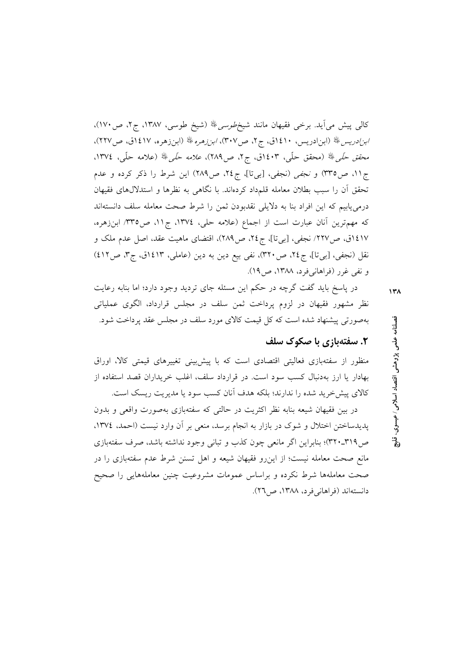کالبی پیش می]ید. برخی فقیهان مانند شیخ *طوسی ﷺ* (شیخ طوسی، ۱۳۸۷، ج۲، ص۱۷۰)، /بز/دریس،ﷺ (ابن|دریس، ١٤١٠ق، ج٢، ص٣٠٧)، *ابنزهره*ﷺ (ابنزهره، ١٤١٧ق، ص٢٢٧)، محقق حَ*لَّى ﷺ* (محقق حلَّى، ١٤٠٣ق، ج٢، ص٢٨٩)، *علامه حَلَّى ﷺ* (علامه حلَّى، ١٣٧٤. ج۱۱، ص۳۳۵) و *نجفی* (نجفی، [بیتا]، ج۲٤، ص۲۸۹) این شرط را ذکر کرده و عدم تحقق آن را سبب بطلان معامله قلمداد كردهاند. با نگاهی به نظرها و استدلالهای فقیهان درمی یابیم که این افراد بنا به دلایلی نقدبودن ثمن را شرط صحت معامله سلف دانستهاند که مهمترین آنان عبارت است از اجماع (علامه حلی، ١٣٧٤، ج١١، ص٣٣٥ ابنزهره، ٤١٧ق، ص٢٢٧/ نجفي، [بيتا]، ج٤٢، ص٢٨٩)، اقتضاى ماهيت عقد، اصل عدم ملك و نقل (نجفي، [بيتا]، ج٢٤، ص٣٢٠)، نفي بيع دين به دين (عاملي، ١٤١٣ق، ج٣، ص٤١٢) و نفي غرر (فراهانيفرد، ١٣٨٨، ص١٩).

در پاسخ باید گفت گرچه در حکم این مسئله جای تردید وجود دارد؛ اما بنابه رعایت نظر مشهور فقیهان در لزوم پرداخت ثمن سلف در مجلس قرارداد، الگوی عملیاتی بهصورتی پیشنهاد شده است که کل قیمت کالای مورد سلف در مجلس عقد پرداخت شود.

#### ۲. سفتهبازی با صکوک سلف

منظور از سفتهبازی فعالیتی اقتصادی است که با پیش بینی تغییرهای قیمتی کالا، اوراق بهادار یا ارز بهدنبال کسب سود است. در قرارداد سلف، اغلب خریداران قصد استفاده از كالاي پيش خريد شده را ندارند؛ بلكه هدف آنان كسب سود يا مديريت ريسك است.

در بین فقیهان شیعه بنابه نظر اکثریت در حالتی که سفتهبازی بهصورت واقعی و بدون پدیدساختن اختلال و شوک در بازار به انجام برسد، منعی بر آن وارد نیست (احمد، ۱۳۷٤، ص۳۱۹ـ۳۲۰)؛ بنابراین اگر مانعی چون کذب و تبانی وجود نداشته باشد، صرف سفتهبازی مانع صحت معامله نیست؛ از اینرو فقیهان شیعه و اهل تسنن شرط عدم سفتهبازی را در صحت معاملهها شرط نكرده و براساس عمومات مشروعيت چنين معاملههايي را صحيح دانستهاند (فراهانی فرد، ۱۳۸۸، ص۲۲). فصلنامه علمي پژوهشي اقتصاد اسلامي/ عيسوي.

涓

 $\lambda$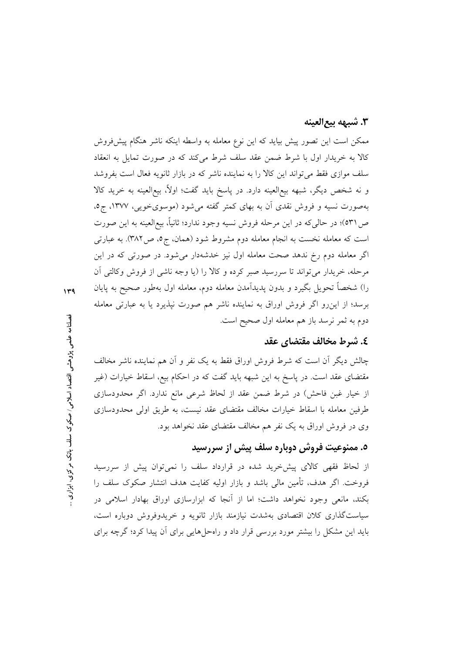### ٣. شبهه بيع|لعينه

ممکن است این تصور پیش بیاید که این نوع معامله به واسطه اینکه ناشر هنگام پیش فروش کالا به خریدار اول با شرط ضمن عقد سلف شرط می کند که در صورت تمایل به انعقاد سلف موازی فقط می تواند این کالا را به نماینده ناشر که در بازار ثانویه فعال است بفروشد و نه شخص دیگر، شبهه بیع|لعینه دارد. در پاسخ باید گفت؛ اولاً، بیع|لعینه به خرید کالا بهصورت نسیه و فروش نقدی آن به بهای کمتر گفته میشود (موسوی خویی، ۱۳۷۷، ج٥، ص ٥٣١)؛ در حاليكه در اين مرحله فروش نسيه وجود ندارد؛ ثانياً، بيع|لعينه به اين صورت است که معامله نخست به انجام معامله دوم مشروط شود (همان، ج٥، ص٣٨٢). به عبارتي اگر معامله دوم رخ ندهد صحت معامله اول نیز خدشهدار میشود. در صورتی که در این مرحله، خریدار می تواند تا سررسید صبر کرده و کالا را (یا وجه ناشی از فروش وکالتی آن را) شخصاً تحویل بگیرد و بدون یدیدآمدن معامله دوم، معامله اول بهطور صحیح به پایان برسد؛ از این رو اگر فروش اوراق به نماینده ناشر هم صورت نپذیرد یا به عبارتی معامله دوم به ثمر نرسد باز هم معامله اول صحیح است.

#### ٤. شرط مخالف مقتضاي عقد

چالش دیگر آن است که شرط فروش اوراق فقط به یک نفر و آن هم نماینده ناشر مخالف مقتضای عقد است. در پاسخ به این شبهه باید گفت که در احکام بیع، اسقاط خیارات (غیر از خیار غبن فاحش) در شرط ضمن عقد از لحاظ شرعی مانع ندارد. اگر محدودسازی طرفین معامله با اسقاط خیارات مخالف مقتضای عقد نیست، به طریق اولی محدودسازی وی در فروش اوراق به یک نفر هم مخالف مقتضای عقد نخواهد بود.

# ٥. ممنوعیت فروش دوباره سلف پیش از سررسید

از لحاظ فقهی کالای پیش خرید شده در قرارداد سلف را نمیتوان پیش از سررسید فروخت. اگر هدف، تأمین مالی باشد و بازار اولیه کفایت هدف انتشار صکوک سلف را بکند، مانعی وجود نخواهد داشت؛ اما از آنجا که ابزارسازی اوراق بهادار اسلامی در سیاستگذاری کلان اقتصادی بهشدت نیازمند بازار ثانویه و خریدوفروش دوباره است، باید این مشکل را بیشتر مورد بررسی قرار داد و راهحلهایی برای آن پیدا کرد؛ گرچه برای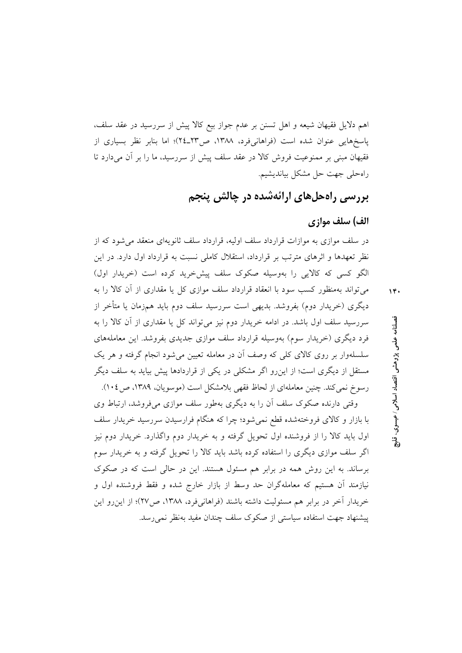اهم دلایل فقیهان شیعه و اهل تسنن بر عدم جواز بیع کالا پیش از سررسید در عقد سلف، پاسخهایی عنوان شده است (فراهانیفرد، ۱۳۸۸، ص۲۳ـ۲٤)؛ اما بنابر نظر بسیاری از فقیهان مبنی بر ممنوعیت فروش کالا در عقد سلف پیش از سررسید، ما را بر آن میدارد تا راهحلي جهت حل مشكل بيانديشيم.

بررسی راهحلهای ارائهشده در چالش پنجم

#### الف) سلف موازي

در سلف موازی به موازات قرارداد سلف اولیه، قرارداد سلف ثانویهای منعقد می شود که از نظر تعهدها و اثرهای مترتب بر قرارداد، استقلال کاملی نسبت به قرارداد اول دارد. در این الگو کسی که کالایی را بهوسیله صکوک سلف پیش خرید کرده است (خریدار اول)

 $14.$ 

می تواند بهمنظور کسب سود با انعقاد قرارداد سلف موازی کل یا مقداری از آن کالا را به دیگری (خریدار دوم) بفروشد. بدیهی است سررسید سلف دوم باید همزمان یا متأخر از سررسید سلف اول باشد. در ادامه خریدار دوم نیز می تواند کل یا مقداری از آن کالا را به فرد دیگری (خریدار سوم) بهوسیله قرارداد سلف موازی جدیدی بفروشد. این معاملههای سلسلهوار بر روی کالای کلی که وصف آن در معامله تعیین می شود انجام گرفته و هر یک مستقل از دیگری است؛ از این رو اگر مشکلی در یکی از قراردادها پیش بیاید به سلف دیگر رسوخ نمي كند. چنين معاملهاي از لحاظ فقهي بلامشكل است (موسويان، ١٣٨٩، ص١٠٤).

وقتی دارنده صکوک سلف آن را به دیگری بهطور سلف موازی میفروشد، ارتباط وی با بازار و کالای فروختهشده قطع نمیشود؛ چرا که هنگام فرارسیدن سررسید خریدار سلف اول باید کالا را از فروشنده اول تحویل گرفته و به خریدار دوم واگذارد. خریدار دوم نیز اگر سلف موازی دیگری را استفاده کرده باشد باید کالا را تحویل گرفته و به خریدار سوم برساند. به این روش همه در برابر هم مسئول هستند. این در حالی است که در صکوک نیازمند آن هستیم که معاملهگران حد وسط از بازار خارج شده و فقط فروشنده اول و خریدار آخر در برابر هم مسئولیت داشته باشند (فراهانیفرد، ۱۳۸۸، ص۲۷)؛ از این رو این پیشنهاد جهت استفاده سیاستی از صکوک سلف چندان مفید بهنظر نمی رسد.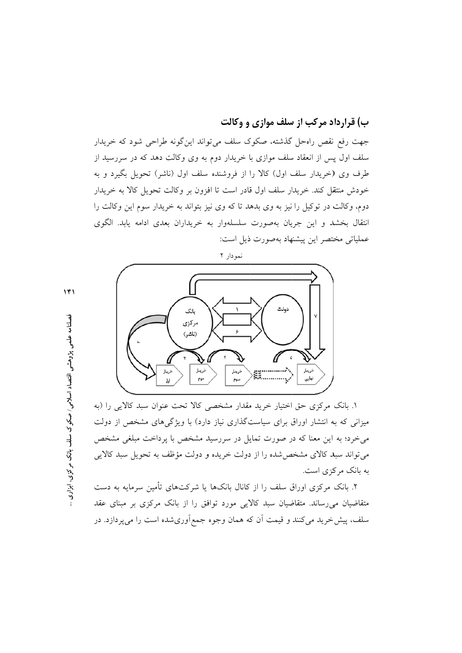ب) قرارداد مرکب از سلف موازی و وکالت جهت رفع نقص راهحل گذشته، صکوک سلف میتواند اینگونه طراحی شود که خریدار سلف اول پس از انعقاد سلف موازی با خریدار دوم به وی وکالت دهد که در سررسید از طرف وی (خریدار سلف اول) کالا را از فروشنده سلف اول (ناشر) تحویل بگیرد و به خودش منتقل کند. خریدار سلف اول قادر است تا افزون بر وکالت تحویل کالا به خریدار دوم، وكالت در توكيل را نيز به وى بدهد تا كه وى نيز بتواند به خريدار سوم اين وكالت را انتقال بخشد و این جریان بهصورت سلسلهوار به خریداران بعدی ادامه یابد. الگوی عملیاتی مختصر این پیشنهاد بهصورت ذیل است:



١. بانک مرکزی حق اختیار خرید مقدار مشخصی کالا تحت عنوان سبد کالایی را (به میزانی که به انتشار اوراق برای سیاستگذاری نیاز دارد) با ویژگیهای مشخص از دولت می خرد؛ به این معنا که در صورت تمایل در سررسید مشخص با پرداخت مبلغی مشخص می تواند سبد کالای مشخص شده را از دولت خریده و دولت مؤظف به تحویل سبد کالایی به بانک مرکزی است.

۲. بانک مرکزی اوراق سلف را از کانال بانکها یا شرکتهای تأمین سرمایه به دست متقاضیان می رساند. متقاضیان سبد کالایی مورد توافق را از بانک مرکزی بر مبنای عقد سلف، پیش خرید میکنند و قیمت اَن که همان وجوه جمع|َوریشده است را میپردازد. در

 $\mathcal{N}$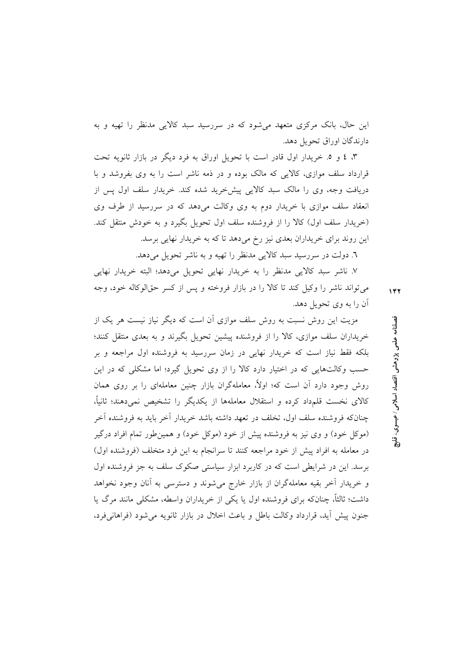این حال، بانک مرکزی متعهد می شود که در سررسید سبد کالایی مدنظر را تهیه و به دارندگان اوراق تحویل دهد.

۳، ٤ و ٥. خریدار اول قادر است با تحویل اوراق به فرد دیگر در بازار ثانویه تحت قرارداد سلف موازی، کالایی که مالک بوده و در ذمه ناشر است را به وی بفروشد و با دریافت وجه، وی را مالک سبد کالایی پیشخرید شده کند. خریدار سلف اول پس از انعقاد سلف موازی با خریدار دوم به وی وکالت میدهد که در سررسید از طرف وی (خریدار سلف اول) کالا را از فروشنده سلف اول تحویل بگیرد و به خودش منتقل کند. این روند برای خریداران بعدی نیز رخ میدهد تا که به خریدار نهایی برسد.

٦. دولت در سررسید سبد کالایی مدنظر را تهیه و به ناشر تحویل میدهد.

۷. ناشر سبد کالایی مدنظر را به خریدار نهایی تحویل میدهد؛ البته خریدار نهایی می تواند ناشر را وکیل کند تا کالا را در بازار فروخته و پس از کسر حقالوکاله خود، وجه آن را به وي تحويل دهد.

مزیت این روش نسبت به روش سلف موازی آن است که دیگر نیاز نیست هر یک از خریداران سلف موازی، کالا را از فروشنده پیشین تحویل بگیرند و به بعدی منتقل کنند؛ بلکه فقط نیاز است که خریدار نهایی در زمان سررسید به فروشنده اول مراجعه و بر حسب وکالتهایی که در اختیار دارد کالا را از وی تحویل گیرد؛ اما مشکلی که در این روش وجود دارد أن است كه؛ اولاً، معاملهگران بازار چنین معاملهای را بر روی همان کالای نخست قلمداد کرده و استقلال معاملهها از یکدیگر را تشخیص نمی،دهند؛ ثانیاً، چنانکه فروشنده سلف اول، تخلف در تعهد داشته باشد خریدار اَخر باید به فروشنده اَخر (موکل خود) و وی نیز به فروشنده پیش از خود (موکل خود) و همینطور تمام افراد درگیر در معامله به افراد پیش از خود مراجعه کنند تا سرانجام به این فرد متخلف (فروشنده اول) برسد. این در شرایطی است که در کاربرد ابزار سیاستی صکوک سلف به جز فروشنده اول و خریدار آخر بقیه معاملهگران از بازار خارج میشوند و دسترسی به آنان وجود نخواهد داشت؛ ثالثاً، چنانکه برای فروشنده اول یا یکی از خریداران واسطه، مشکلی مانند مرگ یا جنون پیش آید، قرارداد وكالت باطل و باعث اخلال در بازار ثانویه می شود (فراهانی فرد، فصلنامه علمی پژوهشی اقتصاد اسلامی ⁄ عیسوی. ႜၟ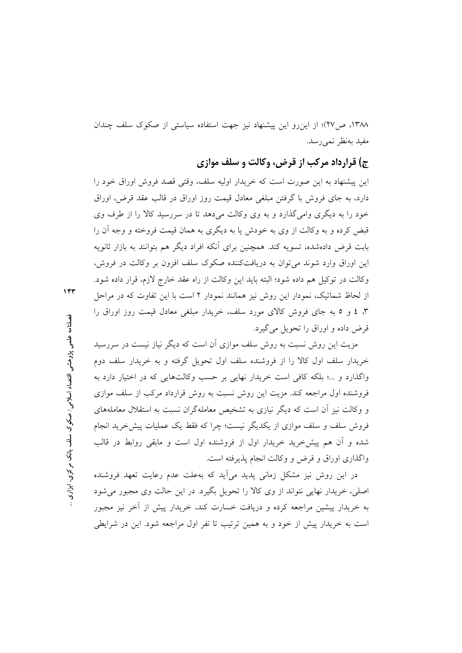١٣٨٨، ص٢٧)؛ از اين رو اين پيشنهاد نيز جهت استفاده سياستي از صكوك سلف چندان مفيد بەنظر نمى رسد.

ج) قرارداد مرکب از قرض، وکالت و سلف موازی

این پیشنهاد به این صورت است که خریدار اولیه سلف، وقتی قصد فروش اوراق خود را دارد، به جای فروش با گرفتن مبلغی معادل قیمت روز اوراق در قالب عقد قرض، اوراق خود را به دیگری وامی گذارد و به وی وکالت می دهد تا در سررسید کالا را از طرف وی قبض کرده و به وکالت از وی به خودش یا به دیگری به همان قیمت فروخته و وجه آن را بابت قرض دادهشده، تسویه کند. همچنین برای آنکه افراد دیگر هم بتوانند به بازار ثانویه این اوراق وارد شوند می توان به دریافتکننده صکوک سلف افزون بر وکالت در فروش، وكالت در توكيل هم داده شود؛ البته بايد اين وكالت از راه عقد خارج لازم، قرار داده شود. از لحاظ شماتیک، نمودار این روش نیز همانند نمودار ۲ است با این تفاوت که در مراحل ۳، ٤ و ٥ به جای فروش کالای مورد سلف، خریدار مبلغی معادل قیمت روز اوراق را قرض داده و اوراق را تحویل می گیرد.

مزیت این روش نسبت به روش سلف موازی آن است که دیگر نیاز نیست در سررسید خریدار سلف اول کالا را از فروشنده سلف اول تحویل گرفته و به خریدار سلف دوم واگذارد و ...؛ بلکه کافی است خریدار نهایی بر حسب وکالتهایی که در اختیار دارد به فروشنده اول مراجعه کند. مزیت این روش نسبت به روش قرارداد مرکب از سلف موازی و وکالت نیز آن است که دیگر نیازی به تشخیص معاملهگران نسبت به استقلال معاملههای فروش سلف و سلف موازی از یکدیگر نیست؛ چرا که فقط یک عملیات پیش خرید انجام شده و أن هم پیش خرید خریدار اول از فروشنده اول است و مابقی روابط در قالب واگذاری اوراق و قرض و وکالت انجام پذیرفته است.

در این روش نیز مشکل زمانی پدید میآید که بهعلت عدم رعایت تعهد فروشنده اصلی، خریدار نهایی نتواند از وی کالا را تحویل بگیرد. در این حالت وی مجبور می شود به خریدار پیشین مراجعه کرده و دریافت خسارت کند، خریدار پیش از أخر نیز مجبور است به خریدار پیش از خود و به همین ترتیب تا نفر اول مراجعه شود. این در شرایطی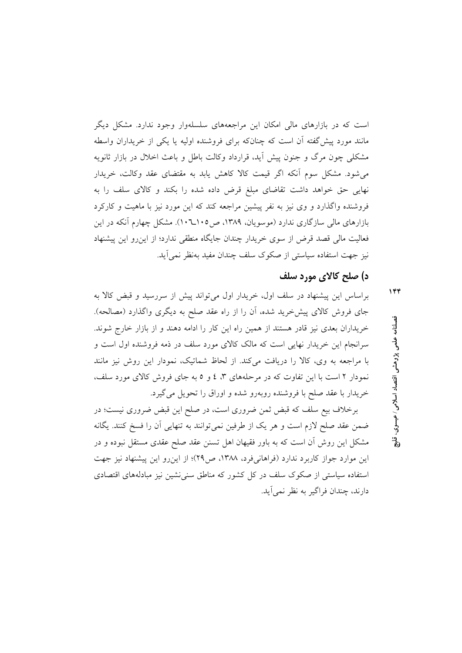است که در بازارهای مالی امکان این مراجعههای سلسلهوار وجود ندارد. مشکل دیگر مانند مورد پیش گفته آن است که چنانکه برای فروشنده اولیه یا یکی از خریداران واسطه مشکلی چون مرگ و جنون پیش اَید، قرارداد وکالت باطل و باعث اخلال در بازار ثانویه می شود. مشکل سوم آنکه اگر قیمت کالا کاهش یابد به مقتضای عقد وکالت، خریدار نهایی حق خواهد داشت تقاضای مبلغ قرض داده شده را بکند و کالای سلف را به فروشنده واگذارد و وی نیز به نفر پیشین مراجعه کند که این مورد نیز با ماهیت و کارکرد بازارهای مالی سازگاری ندارد (موسویان، ۱۳۸۹، ص۱۰۵-۱۰). مشکل چهارم آنکه در این فعالیت مالی قصد قرض از سوی خریدار چندان جایگاه منطقی ندارد؛ از این رو این پیشنهاد نیز جهت استفاده سیاستی از صکوک سلف چندان مفید بهنظر نمی آید.

#### د) صلح کالای مورد سلف

براساس این پیشنهاد در سلف اول، خریدار اول می تواند پیش از سررسید و قبض کالا به جای فروش کالای پیشخرید شده، آن را از راه عقد صلح به دیگری واگذارد (مصالحه). خریداران بعدی نیز قادر هستند از همین راه این کار را ادامه دهند و از بازار خارج شوند. سرانجام این خریدار نهایی است که مالک کالای مورد سلف در ذمه فروشنده اول است و با مراجعه به وي، كالا را دريافت مى كند. از لحاظ شماتيك، نمودار اين روش نيز مانند نمودار ۲ است با این تفاوت که در مرحلههای ۳، ٤ و ٥ به جای فروش کالای مورد سلف، خريدار با عقد صلح با فروشنده روبهرو شده و اوراق را تحويل مي گيرد.

برخلاف بیع سلف که قبض ثمن ضروری است، در صلح این قبض ضروری نیست؛ در ضمن عقد صلح لازم است و هر يک از طرفين نمي توانند به تنهايي آن را فسخ کنند. يگانه مشکل این روش آن است که به باور فقیهان اهل تسنن عقد صلح عقدی مستقل نبوده و در این موارد جواز کاربرد ندارد (فراهانیفرد، ۱۳۸۸، ص۲۹)؛ از این رو این پیشنهاد نیز جهت استفاده سیاستی از صکوک سلف در کل کشور که مناطق سنی نشین نیز مبادلههای اقتصادی دارند، چندان فراگیر به نظر نمی آید. فصلنامه علمى پڑوهشى اقتصاد اسلامى ⁄ عيسوى.

ڗ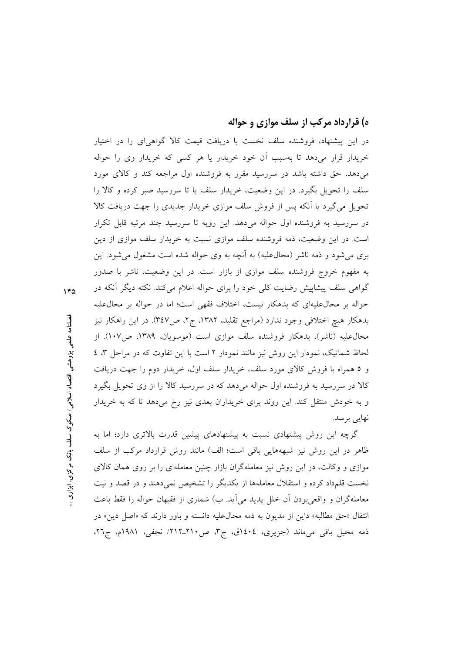### ه) قرارداد مرکب از سلف موازی و حواله

در این پیشنهاد، فروشنده سلف نخست با دریافت قیمت کالا گواهی ای را در اختیار خریدار قرار می دهد تا بهسبب آن خود خریدار یا هر کسی که خریدار وی را حواله می دهد، حق داشته باشد در سررسید مقرر به فروشنده اول مراجعه کند و کالای مورد سلف را تحویل بگیرد. در این وضعیت، خریدار سلف یا تا سررسید صبر کرده و کالا را تحویل میگیرد یا آنکه پس از فروش سلف موازی خریدار جدیدی را جهت دریافت کالا در سررسید به فروشنده اول حواله میدهد. این رویه تا سررسید چند مرتبه قابل تکرار است. در این وضعیت، ذمه فروشنده سلف موازی نسبت به خریدار سلف موازی از دین بری می شود و ذمه ناشر (محالءلیه) به آنچه به وی حواله شده است مشغول می شود. این به مفهوم خروج فروشنده سلف موازی از بازار است. در این وضعیت، ناشر با صدور گواهی سلف پیشاپیش رضایت کلی خود را برای حواله اعلام میکند. نکته دیگر اَنکه در حواله بر محال علیهای که بدهکار نیست، اختلاف فقهی است؛ اما در حواله بر محال علیه بدهکار هیچ اختلافی وجود ندارد (مراجع تقلید، ۱۳۸۲، ج۲، ص۳٤۷). در این راهکار نیز محال عليه (ناشر)، بدهكار فروشنده سلف موازي است (موسويان، ١٣٨٩، ص١٠٧). از لحاظ شماتیک، نمودار این روش نیز مانند نمودار ۲ است با این تفاوت که در مراحل ۳، ٤ و ٥ همراه با فروش كالاي مورد سلف، خريدار سلف اول، خريدار دوم را جهت دريافت کالا در سررسید به فروشنده اول حواله میدهد که در سررسید کالا را از وی تحویل بگیرد و به خودش منتقل کند. این روند برای خریداران بعدی نیز رخ میدهد تا که به خریدار نهایی برسد.

گرچه این روش پیشنهادی نسبت به پیشنهادهای پیشین قدرت بالاتری دارد؛ اما به ظاهر در این روش نیز شبهههایی باقی است؛ الف) مانند روش قرارداد مرکب از سلف موازی و وکالت، در این روش نیز معاملهگران بازار چنین معاملهای را بر روی همان کالای نخست قلمداد کرده و استقلال معاملهها از یکدیگر را تشخیص نمی،دهند و در قصد و نیت معاملهگران و واقعیبودن آن خلل پدید می آید. ب) شماری از فقیهان حواله را فقط باعث انتقال «حق مطالبه» داین از مدیون به ذمه محال علیه دانسته و باور دارند که «اصل دین» در ذمه محيل باقى مىماند (جزيرى، ١٤٠٤ق، ج٣، ص٢١٠-٢١٢/ نجفى، ١٩٨١م، ج٢٦،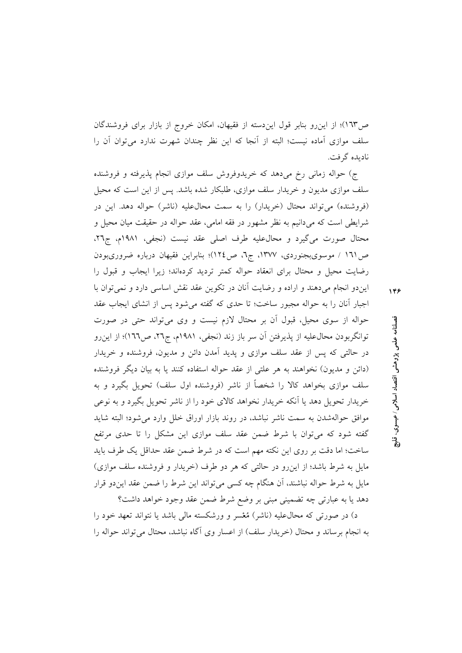ص۱٦۳)؛ از این٫و بنابر قول ایندسته از فقیهان، امکان خروج از بازار برای فروشندگان سلف موازي آماده نيست؛ البته از أنجا كه اين نظر چندان شهرت ندارد مي توان أن را نادېده گرفت.

ج) حواله زمانی رخ میدهد که خریدوفروش سلف موازی انجام پذیرفته و فروشنده سلف موازی مدیون و خریدار سلف موازی، طلبکار شده باشد. پس از این است که محیل (فروشنده) می تواند محتال (خریدار) را به سمت محال علیه (ناشر) حواله دهد. این در شرایطی است که میدانیم به نظر مشهور در فقه امامی، عقد حواله در حقیقت میان محیل و محتال صورت میگیرد و محال علیه طرف اصلی عقد نیست (نجفی، ۱۹۸۱م، ج۲۲، ص ١٦١ / موسوىبجنوردى، ١٣٧٧، ج٦، ص١٢٤)؛ بنابراين فقيهان درباره ضرورىبودن رضایت محیل و محتال برای انعقاد حواله کمتر تردید کردهاند؛ زیرا ایجاب و قبول را

ایندو انجام میدهند و اراده و رضایت أنان در تکوین عقد نقش اساسی دارد و نمیتوان با اجبار آنان را به حواله مجبور ساخت؛ تا حدى كه گفته مى شود پس از انشاى ايجاب عقد حواله از سوی محیل، قبول آن بر محتال لازم نیست و وی میتواند حتی در صورت توانگربودن محالءعلیه از پذیرفتن آن سر باز زند (نجفی، ۱۹۸۱م، ج۲۲، ص۱٦٦)؛ از این رو در حالتی که پس از عقد سلف موازی و پدید آمدن دائن و مدیون، فروشنده و خریدار (دائن و مدیون) نخواهند به هر علتی از عقد حواله استفاده کنند یا به بیان دیگر فروشنده سلف موازی بخواهد کالا را شخصاً از ناشر (فروشنده اول سلف) تحویل بگیرد و به خریدار تحویل دهد یا اَنکه خریدار نخواهد کالای خود را از ناشر تحویل بگیرد و به نوعی موافق حوالهشدن به سمت ناشر نباشد، در روند بازار اوراق خلل وارد می شود؛ البته شاید گفته شود که میتوان با شرط ضمن عقد سلف موازی این مشکل را تا حدی مرتفع ساخت؛ اما دقت بر روى اين نكته مهم است كه در شرط ضمن عقد حداقل يك طرف بايد مایل به شرط باشد؛ از این رو در حالتی که هر دو طرف (خریدار و فروشنده سلف موازی) مایل به شرط حواله نباشند، آن هنگام چه کسی میتواند این شرط را ضمن عقد ایندو قرار دهد يا به عبارتي چه تضميني مبني بر وضع شرط ضمن عقد وجود خواهد داشت؟

د) در صورتی که محالءلیه (ناشر) مُعْسر و ورشکسته مالی باشد یا نتواند تعهد خود را به انجام برساند و محتال (خریدار سلف) از اعسار وی آگاه نباشد، محتال می تواند حواله را 148

فصلنامه علمى پڑوهشى اقتصاد اسلامى ⁄ عيسوى،

ڐ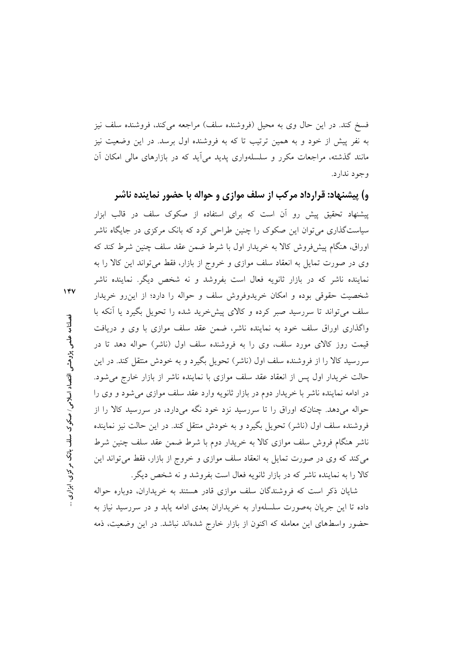فسخ کند. در این حال وی به محیل (فروشنده سلف) مراجعه می کند، فروشنده سلف نیز به نفر پیش از خود و به همین ترتیب تا که به فروشنده اول برسد. در این وضعیت نیز مانند گذشته، مراجعات مکرر و سلسلهواری پدید می[ید که در بازارهای مالی امکان آن وجود ندارد.

و) پیشنهاد: قرارداد مرکب از سلف موازی و حواله با حضور نماینده ناشر پیشنهاد تحقیق پیش رو آن است که برای استفاده از صکوک سلف در قالب ابزار سیاستگذاری می توان این صکوک را چنین طراحی کرد که بانک مرکزی در جایگاه ناشر اوراق، هنگام پیش فروش کالا به خریدار اول با شرط ضمن عقد سلف چنین شرط کند که وی در صورت تمایل به انعقاد سلف موازی و خروج از بازار، فقط می تواند این کالا را به نماینده ناشر که در بازار ثانویه فعال است بفروشد و نه شخص دیگر. نماینده ناشر شخصیت حقوقی بوده و امکان خریدوفروش سلف و حواله را دارد؛ از این رو خریدار سلف می تواند تا سررسید صبر کرده و کالای پیش خرید شده را تحویل بگیرد یا آنکه با واگذاری اوراق سلف خود به نماینده ناشر، ضمن عقد سلف موازی با وی و دریافت قیمت روز کالای مورد سلف، وی را به فروشنده سلف اول (ناشر) حواله دهد تا در سررسید کالا را از فروشنده سلف اول (ناشر) تحویل بگیرد و به خودش منتقل کند. در این حالت خریدار اول پس از انعقاد عقد سلف موازی با نماینده ناشر از بازار خارج می شود. در ادامه نماینده ناشر با خریدار دوم در بازار ثانویه وارد عقد سلف موازی میشود و وی را حواله میدهد. چنانکه اوراق را تا سررسید نزد خود نگه میدارد، در سررسید کالا را از فروشنده سلف اول (ناشر) تحویل بگیرد و به خودش منتقل کند. در این حالت نیز نماینده ناشر هنگام فروش سلف موازی کالا به خریدار دوم با شرط ضمن عقد سلف چنین شرط می کند که وی در صورت تمایل به انعقاد سلف موازی و خروج از بازار، فقط می تواند این کالا را به نماینده ناشر که در بازار ثانویه فعال است بفروشد و نه شخص دیگر.

شایان ذکر است که فروشندگان سلف موازی قادر هستند به خریداران، دوباره حواله داده تا این جریان بهصورت سلسلهوار به خریداران بعدی ادامه یابد و در سررسید نیاز به حضور واسطهای این معامله که اکنون از بازار خارج شدهاند نباشد. در این وضعیت، ذمه

فصلنامه علمی پژوهشی اقتصاد اسلامی/ صکوک سلف بانک مرکزی، ابزاری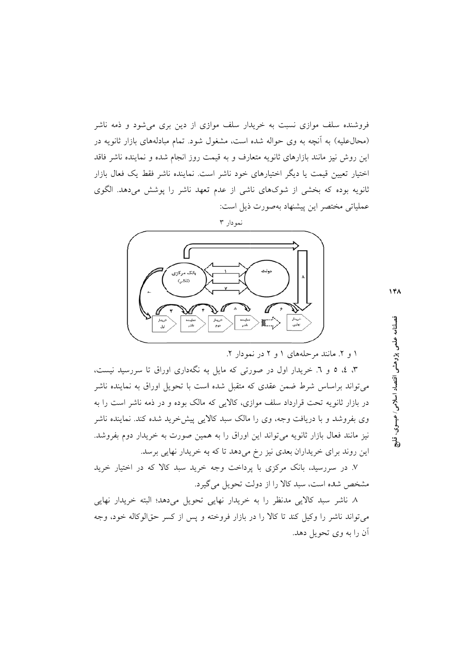فروشنده سلف موازی نسبت به خریدار سلف موازی از دین بری میشود و ذمه ناشر (محال علیه) به آنچه به وی حواله شده است، مشغول شود. تمام مبادلههای بازار ثانویه در این روش نیز مانند بازارهای ثانویه متعارف و به قیمت روز انجام شده و نماینده ناشر فاقد اختیار تعیین قیمت یا دیگر اختیارهای خود ناشر است. نماینده ناشر فقط یک فعال بازار ثانویه بوده که بخشی از شوکهای ناشی از عدم تعهد ناشر را پوشش میدهد. الگوی عملیاتی مختصر این پیشنهاد بهصورت ذیل است:



 $14A$ 

۱ و ۲. مانند مرحلههای ۱ و ۲ در نمودار ۲.

۳، ٤، ٥ و ٦. خریدار اول در صورتی که مایل به نگهداری اوراق تا سررسید نیست، میتواند براساس شرط ضمن عقدی که متقبل شده است با تحویل اوراق به نماینده ناشر در بازار ثانویه تحت قرارداد سلف موازی، کالایی که مالک بوده و در ذمه ناشر است را به وی بفروشد و با دریافت وجه، وی را مالک سبد کالایی پیش خرید شده کند. نماینده ناشر نیز مانند فعال بازار ثانویه میتواند این اوراق را به همین صورت به خریدار دوم بفروشد. این روند برای خریداران بعدی نیز رخ میدهد تا که به خریدار نهایی برسد.

۷. در سررسید، بانک مرکزی با پرداخت وجه خرید سبد کالا که در اختیار خرید مشخص شده است، سبد کالا را از دولت تحویل می گیرد.

٨ ناشر سبد كالايي مدنظر را به خريدار نهايي تحويل ميدهد؛ البته خريدار نهايي می تواند ناشر را وکیل کند تا کالا را در بازار فروخته و پس از کسر حقالوکاله خود، وجه أن را به وي تحويل دهد. ال<br>ويل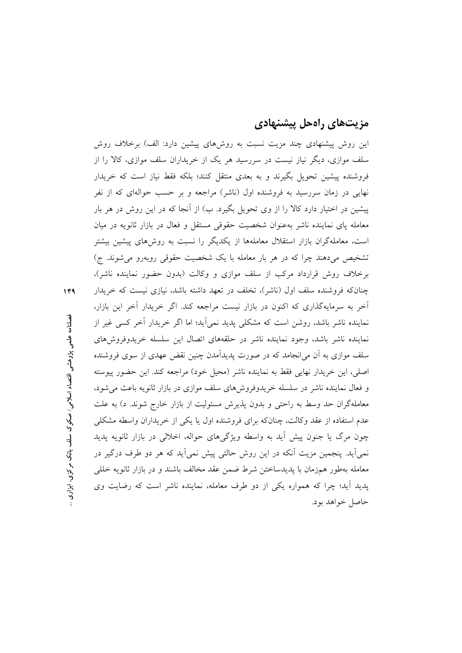### مزیتهای راهحل پیشنهادی

این روش پیشنهادی چند مزیت نسبت به روشهای پیشین دارد: الف) برخلاف روش سلف موازی، دیگر نیاز نیست در سررسید هر یک از خریداران سلف موازی، کالا را از فروشنده پیشین تحویل بگیرند و به بعدی منتقل کنند؛ بلکه فقط نیاز است که خریدار نهایی در زمان سررسید به فروشنده اول (ناشر) مراجعه و بر حسب حوالهای که از نفر پیشین در اختیار دارد کالا را از وی تحویل بگیرد. ب) از آنجا که در این روش در هر بار معامله یای نماینده ناشر بهعنوان شخصیت حقوقی مستقل و فعال در بازار ثانویه در میان است، معاملهگران بازار استقلال معاملهها از یکدیگر را نسبت به روشهای پیشین بیشتر تشخیص می دهند چرا که در هر بار معامله با یک شخصیت حقوقی روبهرو می شوند. ج) برخلاف روش قرارداد مرکب از سلف موازی و وکالت (بدون حضور نماینده ناشر)، چنانکه فروشنده سلف اول (ناشر)، تخلف در تعهد داشته باشد، نیازی نیست که خریدار اَخر به سرمایهگذاری که اکنون در بازار نیست مراجعه کند. اگر خریدار اَخر این بازار، نماینده ناشر باشد، روشن است که مشکلی پدید نمی[ید؛ اما اگر خریدار آخر کسی غیر از نماینده ناشر باشد، وجود نماینده ناشر در حلقههای اتصال این سلسله خریدوفروشهای سلف موازی به آن می|نجامد که در صورت پدیدآمدن چنین نقض عهدی از سوی فروشنده اصلي، اين خريدار نهايي فقط به نماينده ناشر (محيل خود) مراجعه كند. اين حضور پيوسته و فعال نماینده ناشر در سلسله خریدوفروش های سلف موازی در بازار ثانویه باعث می شود، معاملهگران حد وسط به راحتی و بدون یذیرش مسئولیت از بازار خارج شوند. د) به علت عدم استفاده از عقد وكالت، چنانكه براي فروشنده اول يا يكي از خريداران واسطه مشكلي چون مرگ یا جنون پیش آید به واسطه ویژگیهای حواله، اخلالی در بازار ثانویه پدید نمي]يد. پنجمين مزيت اَنكه در اين روش حالتي پيش نمي]يد كه هر دو طرف درگير در معامله بهطور همزمان با يديدساختن شرط ضمن عقد مخالف باشند و در بازار ثانويه خللي یدید آید؛ چرا که همواره یکی از دو طرف معامله، نماینده ناشر است که رضایت وی حاصل خواهد بود.

 $149$ 

فصلنامه علمی پژوهشی اقتصاد اسلامی / صکوک سلف بانک مرکزی، ابزاری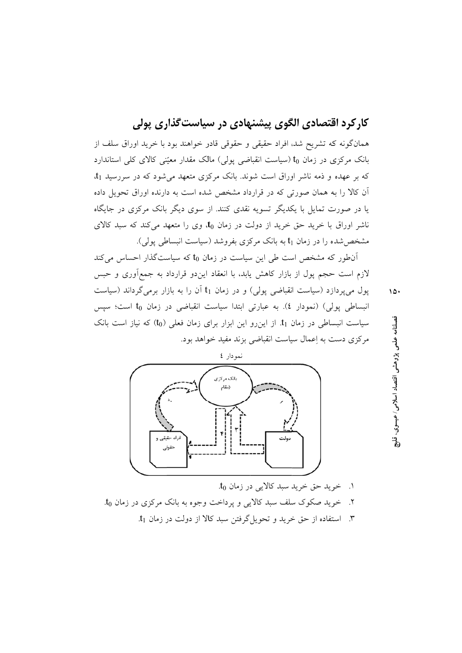## کارکرد اقتصادی الگوی پیشنهادی در سیاست گذاری پولی

همانگونه که تشریح شد، افراد حقیقی و حقوقی قادر خواهند بود با خرید اوراق سلف از بانک مرکزی در زمان t<sub>0</sub> (سیاست انقباضی یولی) مالک مقدار معیّنی کالای کلی استاندارد که بر عهده و ذمه ناشر اوراق است شوند. بانک مرکزی متعهد می شود که در سررسید t<sub>1</sub>. آن کالا را به همان صورتی که در قرارداد مشخص شده است به دارنده اوراق تحویل داده یا در صورت تمایل با یکدیگر تسویه نقدی کنند. از سوی دیگر بانک مرکزی در جایگاه ناشر اوراق با خرید حق خرید از دولت در زمان t<sub>0</sub>، وی را متعهد میکند که سبد کالای مشخص شده را در زمان t<sub>1</sub> به بانک مرکزی بفروشد (سیاست انبساطی یولی).

آن طور که مشخص است طی این سیاست در زمان to که سیاستگذار احساس می کند لازم است حجم پول از بازار کاهش یابد، با انعقاد ایندو قرارداد به جمعآوری و حبس پول میپردازد (سیاست انقباضی پولی) و در زمان t1 آن را به بازار برمیگرداند (سیاست انبساطی پولی) (نمودار ٤). به عبارتی ابتدا سیاست انقباضی در زمان t<sub>0</sub> است؛ سپس سیاست انبساطی در زمان t1 از این رو این ابزار برای زمان فعلی (t0) که نیاز است بانک مرکزی دست به اعمال سیاست انقباضی بزند مفید خواهد بود.



- ١. خريد حق خريد سبد كالايي در زمان to.
- ۲. خرید صکوک سلف سبد کالایی و پرداخت وجوه به بانک مرکزی در زمان to.
	- ۳. استفاده از حق خرید و تحویل گرفتن سبد کالا از دولت در زمان t<sub>1</sub>.

فصلنامه علمي پژوهشي اقتصاد اسلامي / عيسوي.

 $10.$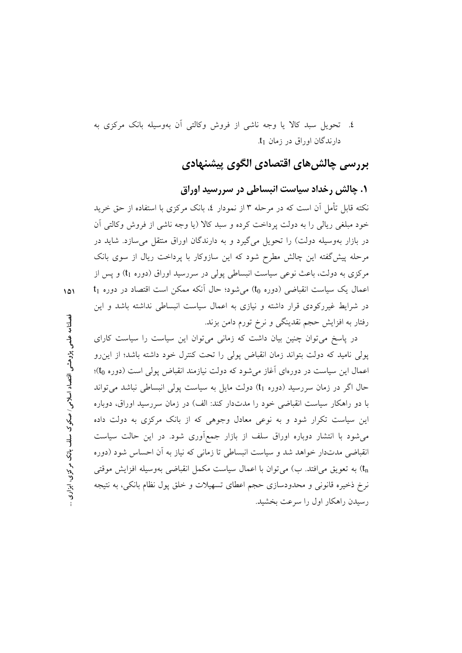٤. تحویل سبد کالا یا وجه ناشی از فروش وکالتی آن بهوسیله بانک مرکزی به دارندگان اوراق در زمان t<sub>1</sub>.

### بررسی چالشھای اقتصادی الگوی پیشنهادی

#### ۱. چالش رخداد سیاست انبساطی در سررسید اوراق

نکته قابل تأمل آن است که در مرحله ۳ از نمودار ٤، بانک مرکزی با استفاده از حق خرید خود مبلغی ریالی را به دولت پرداخت کرده و سبد کالا (یا وجه ناشی از فروش وکالتی آن در بازار بهوسیله دولت) را تحویل میگیرد و به دارندگان اوراق منتقل می سازد. شاید در مرحله پیش گفته این چالش مطرح شود که این سازوکار با پرداخت ریال از سوی بانک مرکزی به دولت، باعث نوعی سیاست انبساطی پولی در سررسید اوراق (دوره t<sub>1</sub>) و پس از  $t_1$  اعمال یک سیاست انقباضی (دوره to) می شود؛ حال آنکه ممکن است اقتصاد در دوره در شرایط غیررکودی قرار داشته و نیازی به اعمال سیاست انبساطی نداشته باشد و این رفتار به افزایش حجم نقدینگی و نرخ تورم دامن بزند.

در پاسخ می توان چنین بیان داشت که زمانی می توان این سیاست را سیاست کارای پولی نامید که دولت بتواند زمان انقباض پولی را تحت کنترل خود داشته باشد؛ از این رو اعمال این سیاست در دورهای آغاز می شود که دولت نیازمند انقباض پولی است (دوره to)؛ حال اگر در زمان سررسید (دوره t1) دولت مایل به سیاست پولی انبساطی نباشد می تواند با دو راهکار سیاست انقباضی خود را مدتدار کند: الف) در زمان سررسید اوراق، دوباره این سیاست تکرار شود و به نوعی معادل وجوهی که از بانک مرکزی به دولت داده می شود با انتشار دوباره اوراق سلف از بازار جمع آوری شود. در این حالت سیاست انقباضی مدتدار خواهد شد و سیاست انبساطی تا زمانی که نیاز به اَن احساس شود (دوره به تعويق می|فتد. ب) می توان با اعمال سياست مكمل انقباضی بهوسيله افزايش موقتی (t نرخ ذخیره قانونی و محدودسازی حجم اعطای تسهیلات و خلق پول نظام بانکی، به نتیجه رسیدن راهکار اول را سرعت بخشید.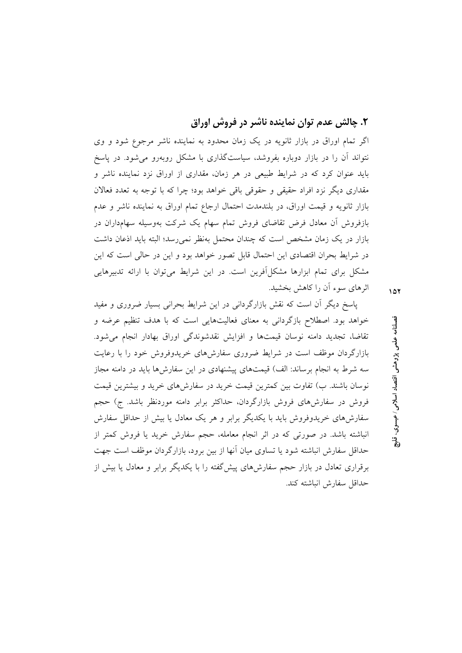### ۲. چالش عدم توان نماینده ناشر در فروش اوراق

اگر تمام اوراق در بازار ثانویه در یک زمان محدود به نماینده ناشر مرجوع شود و وی نتواند آن را در بازار دوباره بفروشد، سیاستگذاری با مشکل روبهرو می شود. در یاسخ باید عنوان کرد که در شرایط طبیعی در هر زمان، مقداری از اوراق نزد نماینده ناشر و مقداری دیگر نزد افراد حقیقی و حقوقی باقی خواهد بود؛ چرا که با توجه به تعدد فعالان بازار ثانويه و قيمت اوراق، در بلندمدت احتمال ارجاع تمام اوراق به نماينده ناشر و عدم بازفروش آن معادل فرض تقاضای فروش تمام سهام یک شرکت بهوسیله سهامداران در بازار در یک زمان مشخص است که چندان محتمل بهنظر نمی رسد؛ البته باید اذعان داشت در شرايط بحران اقتصادي اين احتمال قابل تصور خواهد بود و اين در حالي است كه اين مشکل برای تمام ابزارها مشکل آفرین است. در این شرایط می توان با ارائه تدبیرهایی اثرهای سوء آن را کاهش بخشید.

پاسخ دیگر آن است که نقش بازارگردانی در این شرایط بحرانی بسیار ضروری و مفید خواهد بود. اصطلاح بازگردانی به معنای فعالیتهایی است که با هدف تنظیم عرضه و تقاضاً، تجديد دامنه نوسان قيمتها و افزايش نقدشوندگي اوراق بهادار انجام مي شود. بازارگردان موظف است در شرایط ضروری سفارشهای خریدوفروش خود را با رعایت سه شرط به انجام برساند: الف) قیمتهای پیشنهادی در این سفارشها باید در دامنه مجاز نوسان باشند. ب) تفاوت بین کمترین قیمت خرید در سفارشهای خرید و بیشترین قیمت فروش در سفارشهای فروش بازارگردان، حداکثر برابر دامنه موردنظر باشد. ج) حجم سفارشهای خریدوفروش باید با یکدیگر برابر و هر یک معادل یا بیش از حداقل سفارش انباشته باشد. در صورتی که در اثر انجام معامله، حجم سفارش خرید یا فروش کمتر از حداقل سفارش انباشته شود یا تساوی میان آنها از بین برود، بازارگردان موظف است جهت برقراری تعادل در بازار حجم سفارش های پیش گفته را با یکدیگر برابر و معادل یا بیش از حداقل سفارش انباشته كند.

فصلنامه علمی پژوهشی اقتصاد اسلامی ⁄ عیسوی. ႜၟ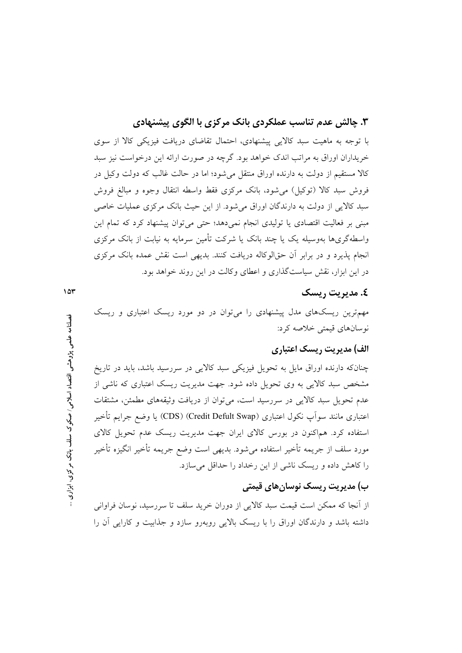۳. چالش عدم تناسب عملکردی بانک مرکزی با الگوی پیشنهادی

با توجه به ماهیت سبد کالایی پیشنهادی، احتمال تقاضای دریافت فیزیکی کالا از سوی خریداران اوراق به مراتب اندک خواهد بود. گرچه در صورت ارائه این درخواست نیز سبد کالا مستقیم از دولت به دارنده اوراق منتقل می شود؛ اما در حالت غالب که دولت وکیل در فروش سبد كالا (توكيل) مي شود، بانك مركزي فقط واسطه انتقال وجوه و مبالغ فروش سبد کالایی از دولت به دارندگان اوراق میشود. از این حیث بانک مرکزی عملیات خاصی مبنی بر فعالیت اقتصادی یا تولیدی انجام نمی دهد؛ حتی می توان پیشنهاد کرد که تمام این واسطهگریها بهوسیله یک یا چند بانک یا شرکت تأمین سرمایه به نیابت از بانک مرکزی انجام پذیرد و در برابر أن حقالوكاله دریافت كنند. بدیهی است نقش عمده بانک مركزی در این ابزار، نقش سیاستگذاری و اعطای وکالت در این روند خواهد بود.

#### ٤. مديريت , يسك

مهمترین ریسکهای مدل پیشنهادی را میتوان در دو مورد ریسک اعتباری و ریسک نوسانهاي قيمتي خلاصه كرد:

#### الف) مدیریت , پسک اعتباری

چنانکه دارنده اوراق مایل به تحویل فیزیکی سبد کالایی در سررسید باشد، باید در تاریخ مشخص سبد کالایی به وی تحویل داده شود. جهت مدیریت ریسک اعتباری که ناشی از عدم تحویل سبد کالایی در سررسید است، میتوان از دریافت وثیقههای مطمئن، مشتقات اعتباري مانند سواَپ نكول اعتباري (Credit Defult Swap) (CDS) يا وضع جرايم تأخير استفاده کرد. هماکنون در بورس کالای ایران جهت مدیریت ریسک عدم تحویل کالای مورد سلف از جريمه تأخير استفاده مىشود. بديهى است وضع جريمه تأخير انگيزه تأخير را کاهش داده و ریسک ناشی از این رخداد را حداقل می سازد.

#### ب) مدیریت ریسک نوسان های قیمتی

از اّنجا که ممکن است قیمت سبد کالایی از دوران خرید سلف تا سررسید، نوسان فراوانی داشته باشد و دارندگان اوراق را با ریسک بالایی روبهرو سازد و جذابیت و کارایی آن را

فصلنامه علمی پژوهشی اقتصاد اسلامی / صکوک سلف بانک مرکزی، ابزاری

 $10r$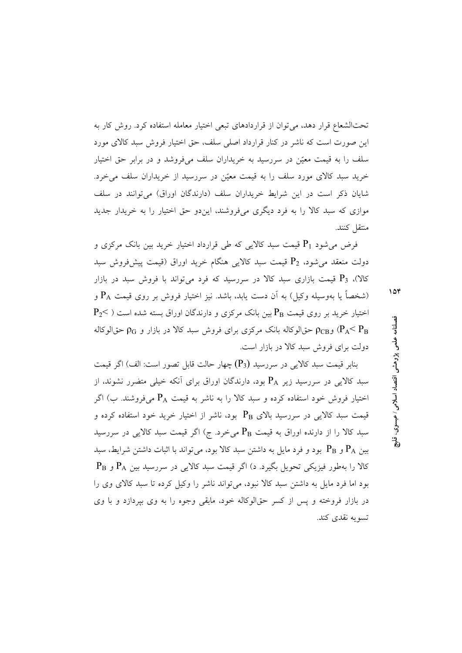تحتالشعاع قرار دهد، می توان از قراردادهای تبعی اختیار معامله استفاده کرد. روش کار به این صورت است که ناشر در کنار قرارداد اصلی سلف، حق اختیار فروش سبد کالای مورد سلف را به قیمت معیّن در سررسید به خریداران سلف میفروشد و در برابر حق اختیار خرید سبد کالای مورد سلف را به قیمت معیّن در سررسید از خریداران سلف میخرد. شایان ذکر است در این شرایط خریداران سلف (دارندگان اوراق) می توانند در سلف موازي كه سبد كالا را به فرد ديگري مي فروشند، اين دو حق اختيار را به خريدار جديد منتقل كنند.

فرض می شود P1 قیمت سبد کالایی که طی قرارداد اختیار خرید بین بانک مرکزی و دولت منعقد می شود، P2 قیمت سبد کالایی هنگام خرید اوراق (قیمت پیش(وش سبد کالا)، P3 قیمت بازاری سبد کالا در سررسید که فرد میتواند با فروش سبد در بازار (شخصاً یا بهوسیله وکیل) به آن دست یابد، باشد. نیز اختیار فروش بر روی قیمت  $\mathrm{P_A}$  و  $P_2$ اختیار خرید بر روی قیمت  $P_{\rm B}$ بین بانک مرکزی و دارندگان اوراق بسته شده است ( $\rm{P_{2}}$ 

و P $_{\rm GB}$  حق|لوکاله بانک مرکزی برای فروش سبد کالا در بازار و  $_{\rm CG}$  حق|لوکاله  $_{\rm PLS}$  ( $_{\rm B}$  / $_{\rm B}$ دولت برای فروش سبد کالا در بازار است.

 $\epsilon$ نایر قیمت سید کالایی در سررسید (P3) چهار حالت قابل تصور است: الف) اگر قیمت سبد کالایی در سررسید زیر P<sub>A</sub> بود، دارندگان اوراق برای آنکه خیلی متضرر نشوند، از اختیار فروش خود استفاده کرده و سبد کالا را به ناشر به قیمت  $\rm P_A$  میفروشند. ب) اگر قیمت سبد کالایی در سررسید بالای  $\rm P_B$  بود، ناشر از اختیار خرید خود استفاده کرده و سبد کالا را از دارنده اوراق به قیمت  $P_{\rm B}$  میخرد. ج) اگر قیمت سبد کالایی در سررسید بین  $\rm P_A$  و  $\rm P_B$  بود و فرد مایل به داشتن سبد کالا بود، می تواند با اثبات داشتن شرایط، سبد  $P_B$  کالا را بهطور فیزیکی تحویل بگیرد. د) اگر قیمت سبد کالایی در سررسید بین  $P_A$  و بود اما فرد مایل به داشتن سبد کالا نبود، میتواند ناشر را وکیل کرده تا سبد کالای وی را در بازار فروخته و پس از کسر حقالوکاله خود، مابقی وجوه را به وی بیردازد و با وی تسويه نقدي كند.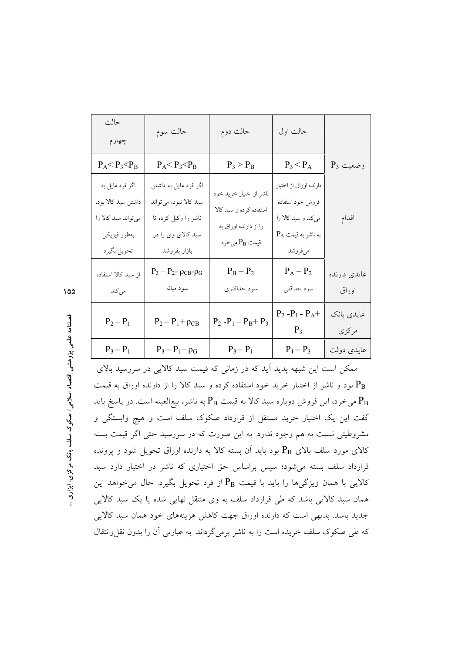| حالت<br>چهارم                                                                                | حالت سوم                                                                                                      | حالت دوم                                                                                                 | حالت اول                                                                                              |                       |
|----------------------------------------------------------------------------------------------|---------------------------------------------------------------------------------------------------------------|----------------------------------------------------------------------------------------------------------|-------------------------------------------------------------------------------------------------------|-----------------------|
| $P_A$ < $P_3$ < $P_B$                                                                        | $P_A$ < $P_3$ < $P_B$                                                                                         | $P_3 > P_B$                                                                                              | $P_3 < P_A$                                                                                           | $P_3$ وضعیت           |
| اگر فرد مایل به<br>داشتن سبد کالا بود.<br>میتواند سبد کالا را<br>بەطور فيزيكى<br>تحويل بگيرد | اگر فرد مایل به داشتن<br>سبد کالا نبود، میتواند<br>ناشر را وکیل کرده تا<br>سبد کالای وی را در<br>بازار بفروشد | ناشر از اختیار خرید خود<br>استفاده کرده و سبد کالا<br>را از دارنده اوراق به<br>قيمت P <sub>B</sub> مىخرد | دارنده اوراق از اختیار<br>فروش خود استفاده<br>میکند و سبد کالا را<br>$P_A$ به ناشر به قیمت<br>مىفروشد | اقدام                 |
| از سبد کالا استفاده<br>مى كند                                                                | $P_3 - P_{2}$ - $\rho_{CB}$ - $\rho_G$<br>سود ميانه                                                           | $\mathbf{P}_\mathrm{B}-\mathbf{P}_2$<br>سود حداکثری                                                      | $\boldsymbol{P}_A-\boldsymbol{P}_2$<br>سود حداقلي                                                     | عايدي دارنده<br>اوراق |
| $\mathbf{P}_2-\mathbf{P}_1$                                                                  | $P_2 - P_1 + \rho_{CB}$                                                                                       | $\mathbf{P}_2$ -P <sub>1</sub> – P <sub>B</sub> + P <sub>3</sub>                                         | $P_2 - P_1 - P_A +$<br>$P_3$                                                                          | عايدي بانك<br>مركزي   |
| $P_3 - P_1$                                                                                  | $P_3 - P_1 + \rho_G$                                                                                          | $P_3 - P_1$                                                                                              | $P_1 - P_3$                                                                                           | عايدى دولت            |

ممکن است این شبهه پدید آید که در زمانی که قیمت سبد کالایی در سررسید بالای بود و ناشر از اختیار خرید خود استفاده کرده و سبد کالا را از دارنده اوراق به قیمت می خرد، این فروش دوباره سبد کالا به قیمت  $\rm P_B$  به ناشر، بیع|لعینه است. در پاسخ باید  $\rm P_B$ گفت این یک اختیار خرید مستقل از قرارداد صکوک سلف است و هیچ وابستگی و مشروطیتی نسبت به هم وجود ندارد. به این صورت که در سررسید حتی اگر قیمت بسته کالای مورد سلف بالای  $\rm P_B$  بود باید آن بسته کالا به دارنده اوراق تحویل شود و پرونده قرارداد سلف بسته میشود؛ سپس براساس حق اختیاری که ناشر در اختیار دارد سبد کالایی با همان ویژگیها را باید با قیمت  $\mathrm{P}_\mathrm{B}$  از فرد تحویل بگیرد. حال میخواهد این همان سبد کالایی باشد که طی قرارداد سلف به وی منتقل نهایی شده یا یک سبد کالایی جدید باشد. بدیهی است که دارنده اوراق جهت کاهش هزینههای خود همان سبد کالایی که طی صکوک سلف خریده است را به ناشر برمیگرداند. به عبارتی آن را بدون نقل وانتقال

 $\sqrt{20}$ 

فصلنامه علمی پژوهشی اقتصاد اسلامی/ صکوک سلف بانک مرکزی، ابزاری ..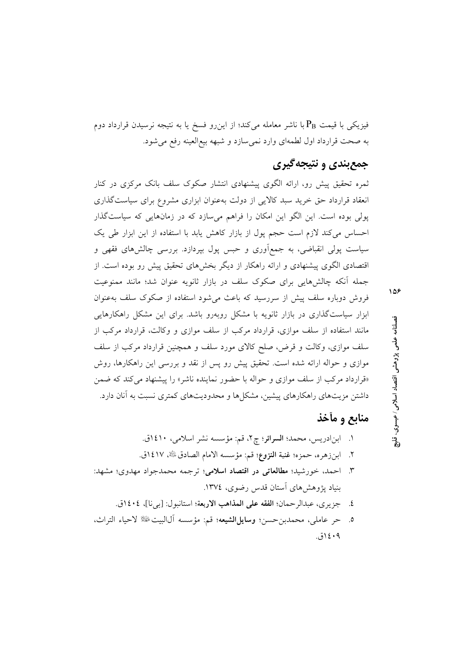فیزیکی با قیمت  $\rm P_B$ با ناشر معامله میکند؛ از این٫رو فسخ یا به نتیجه نرسیدن قرارداد دوم به صحت قرارداد اول لطمهای وارد نمیسازد و شبهه بیع العینه رفع می شود.

# جمع بندی و نتیجه گیری

ثمره تحقیق پیش رو، ارائه الگوی پیشنهادی انتشار صکوک سلف بانک مرکزی در کنار انعقاد قرارداد حق خرید سبد کالایی از دولت بهعنوان ابزاری مشروع برای سیاستگذاری پولی بوده است. این الگو این امکان را فراهم میسازد که در زمانهایی که سیاستگذار احساس می کند لازم است حجم یول از بازار کاهش پابد با استفاده از این ابزار طی یک سیاست پولی انقباضی، به جمعآوری و حبس پول بپردازد. بررسی چالشهای فقهی و اقتصادی الگوی پیشنهادی و ارائه راهکار از دیگر بخشهای تحقیق پیش رو بوده است. از جمله آنکه چالشهایی برای صکوک سلف در بازار ثانویه عنوان شد؛ مانند ممنوعیت فروش دوباره سلف پیش از سررسید که باعث می شود استفاده از صکوک سلف بهعنوان ابزار سیاستگذاری در بازار ثانویه با مشکل روبهرو باشد. برای این مشکل راهکارهایی مانند استفاده از سلف موازی، قرارداد مرکب از سلف موازی و وکالت، قرارداد مرکب از سلف موازی، وکالت و قرض، صلح کالای مورد سلف و همچنین قرارداد مرکب از سلف موازی و حواله ارائه شده است. تحقیق پیش رو پس از نقد و بررسی این راهکارها، روش «قرارداد مرکب از سلف موازی و حواله با حضور نماینده ناشر» را پیشنهاد می کند که ضمن داشتن مزیتهای راهکارهای پیشین، مشکلها و محدودیتهای کمتری نسبت به آنان دارد.

# منابع و مأخذ

- ٢. ابنزهره، حمزه؛ غنية النزوع؛ قم: مؤسسه الامام الصادقﷺ ١٤١٧ق.
- ٣. احمد، خورشيد؛ مطالعاتي در اقتصاد اسلامي؛ ترجمه محمدجواد مهدوي؛ مشهد: ساد بژوهش های آستان قدس رضوی، ١٣٧٤.
	- ٤. جزيري، عبدالرحمان؛ الفقه على المذاهب الاربعة؛ استانبول: [بي نا]، ١٤٠٤ق.
- حر عاملي، محمدبن حسن؛ وسايل الشيعه؛ قم: مؤسسه آلالبيت ﷺ لاحياء التراث،  $\cdot$ .0  $(5)$  {  $\cdot$  9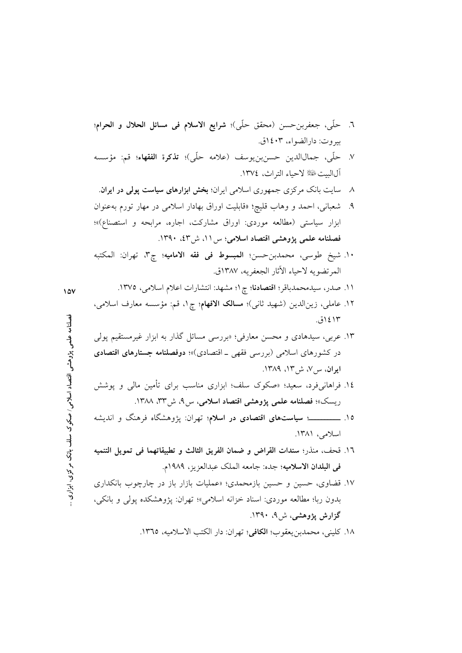- ۸ سایت بانک مرکزی جمهوری اسلامی ایران؛ **بخش ابزارهای سیاست پولی در ایران**.
- ۹. شعبانی، احمد و وهاب قلیچ؛ «قابلیت اوراق بهادار اسلامی در مهار تورم بهعنوان ابزار سیاستی (مطالعه موردی: اوراق مشارکت، اجاره، مرابحه و استصناع)»؛ فصلنامه علمی پژوهشی اقتصاد اسلامی؛ س۱۱، ش۳۶۰. ۱۳۹۰.
- ١٠. شيخ طوسي، محمدبنحسن؛ المبسوط في فقه الاماميه؛ چ٣، تهران: المكتبه المرتضويه لاحياء الأثار الجعفريه، ١٣٨٧ق.
	- ١١. صدر، سيدمحمدباقر؛ اقتصادنا؛ چ١؛ مشهد: انتشارات اعلام اسلامي، ١٣٧٥.
- ۱۲. عاملی، زینالدین (شهید ثانی)؛ مس**الک الافهام**؛ چ۱، قم: مؤسسه معارف اسلامی، ۱۲؛۱۴ق.
- ۱۳. عربی، سیدهادی و محسن معارفی؛ «بررسی مسائل گذار به ابزار غیرمستقیم پولی در کشورهای اسلامی (بررسی فقهی ـ اقتصادی)»؛ دوفصلنامه جستارهای اقتصادی ایران، س ۷، ش ۱۳، ۱۳۸۹.
- ۱٤. فراهانی فرد، سعید؛ «صکوک سلف؛ ابزاری مناسب برای تأمین مالی و پوشش ریسک»؛ فصلنامه علمی پژوهشی اقتصاد اسلامی، س۹، ش۳۳، ۱۳۸۸.
- ۱۵. ـــــــــــــــــــــ **سیاستهای اقتصادی در اسلام**؛ تهران: پژوهشگاه فرهنگ و اندیشه اسلامی، ۱۳۸۱.
- ١٦. قحف، منذر؛ سندات القراض و ضمان الفريق الثالث و تطبيقاتهما في تمويل التنميه في البلدان الاسلاميه؛ جده: جامعه الملك عبدالعزيز، ١٩٨٩م.
- ۱۷. قضاوی، حسین و حسین بازمحمدی؛ «عملیات بازار باز در چارچوب بانکداری بدون ربا؛ مطالعه موردي: اسناد خزانه اسلامي»؛ تهران: يژوهشكده يولي و بانكي، گزارش پژوهشی، ش۹، ۱۳۹۰.
	- ١٨. كليني، محمدبن يعقوب؛ الكافي؛ تهران: دار الكتب الاسلاميه، ١٣٦٥.

فصلنامه علمی پژوهشی اقتصاد اسلامی/ صکوک سلف بانک مرکزی، ابزاری ..

 $10V$